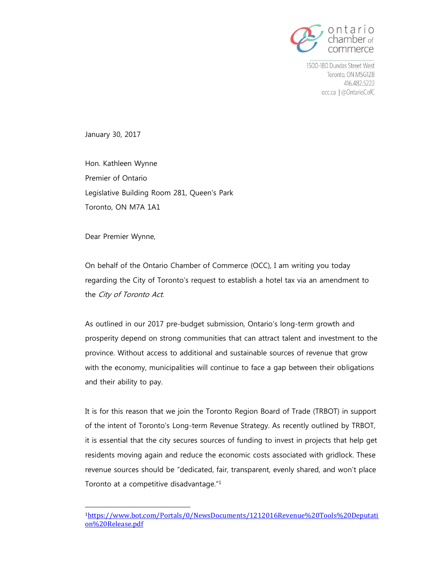

1500-180 Dundas Street West Toronto, ON M5G1Z8 416.482.5222 occ.ca | @OntarioCofC

January 30, 2017

Hon. Kathleen Wynne Premier of Ontario Legislative Building Room 281, Queen's Park Toronto, ON M7A 1A1

Dear Premier Wynne,

 $\overline{a}$ 

On behalf of the Ontario Chamber of Commerce (OCC), I am writing you today regarding the City of Toronto's request to establish a hotel tax via an amendment to the City of Toronto Act.

As outlined in our 2017 pre-budget submission, Ontario's long-term growth and prosperity depend on strong communities that can attract talent and investment to the province. Without access to additional and sustainable sources of revenue that grow with the economy, municipalities will continue to face a gap between their obligations and their ability to pay.

It is for this reason that we join the Toronto Region Board of Trade (TRBOT) in support of the intent of Toronto's Long-term Revenue Strategy. As recently outlined by TRBOT, it is essential that the city secures sources of funding to invest in projects that help get residents moving again and reduce the economic costs associated with gridlock. These revenue sources should be "dedicated, fair, transparent, evenly shared, and won't place Toronto at a competitive disadvantage."<sup>1</sup>

<sup>1</sup>[https://www.bot.com/Portals/0/NewsDocuments/1212016Revenue%20Tools%20Deputati](https://www.bot.com/Portals/0/NewsDocuments/1212016Revenue%20Tools%20Deputation%20Release.pdf) [on%20Release.pdf](https://www.bot.com/Portals/0/NewsDocuments/1212016Revenue%20Tools%20Deputation%20Release.pdf)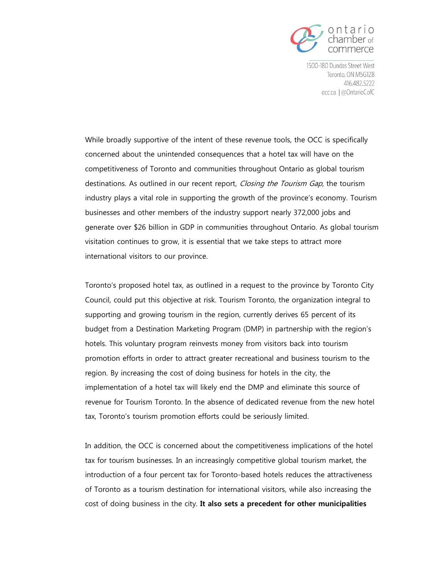

1500-180 Dundas Street West Toronto, ON M5G1Z8 416.482.5222 occ.ca | @OntarioCofC

While broadly supportive of the intent of these revenue tools, the OCC is specifically concerned about the unintended consequences that a hotel tax will have on the competitiveness of Toronto and communities throughout Ontario as global tourism destinations. As outlined in our recent report, *Closing the Tourism Gap*, the tourism industry plays a vital role in supporting the growth of the province's economy. Tourism businesses and other members of the industry support nearly 372,000 jobs and generate over \$26 billion in GDP in communities throughout Ontario. As global tourism visitation continues to grow, it is essential that we take steps to attract more international visitors to our province.

Toronto's proposed hotel tax, as outlined in a request to the province by Toronto City Council, could put this objective at risk. Tourism Toronto, the organization integral to supporting and growing tourism in the region, currently derives 65 percent of its budget from a Destination Marketing Program (DMP) in partnership with the region's hotels. This voluntary program reinvests money from visitors back into tourism promotion efforts in order to attract greater recreational and business tourism to the region. By increasing the cost of doing business for hotels in the city, the implementation of a hotel tax will likely end the DMP and eliminate this source of revenue for Tourism Toronto. In the absence of dedicated revenue from the new hotel tax, Toronto's tourism promotion efforts could be seriously limited.

In addition, the OCC is concerned about the competitiveness implications of the hotel tax for tourism businesses. In an increasingly competitive global tourism market, the introduction of a four percent tax for Toronto-based hotels reduces the attractiveness of Toronto as a tourism destination for international visitors, while also increasing the cost of doing business in the city. **It also sets a precedent for other municipalities**